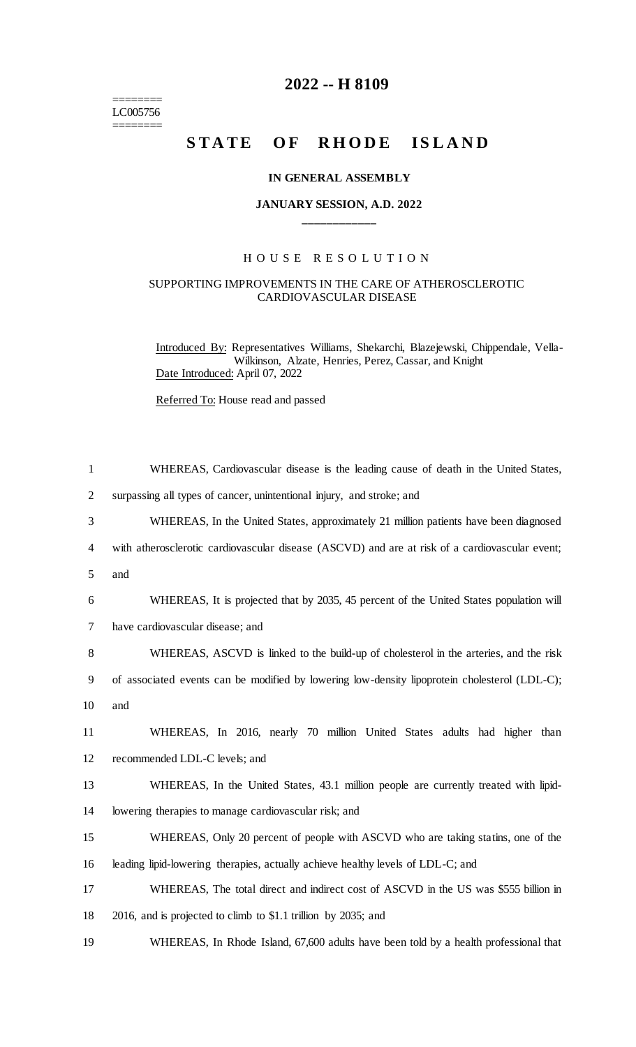======== LC005756 ========

# **2022 -- H 8109**

# STATE OF RHODE ISLAND

#### **IN GENERAL ASSEMBLY**

## **JANUARY SESSION, A.D. 2022 \_\_\_\_\_\_\_\_\_\_\_\_**

## H O U S E R E S O L U T I O N

#### SUPPORTING IMPROVEMENTS IN THE CARE OF ATHEROSCLEROTIC CARDIOVASCULAR DISEASE

Introduced By: Representatives Williams, Shekarchi, Blazejewski, Chippendale, Vella-Wilkinson, Alzate, Henries, Perez, Cassar, and Knight Date Introduced: April 07, 2022

Referred To: House read and passed

| $\mathbf{1}$   | WHEREAS, Cardiovascular disease is the leading cause of death in the United States,            |
|----------------|------------------------------------------------------------------------------------------------|
| $\overline{2}$ | surpassing all types of cancer, unintentional injury, and stroke; and                          |
| 3              | WHEREAS, In the United States, approximately 21 million patients have been diagnosed           |
| 4              | with atherosclerotic cardiovascular disease (ASCVD) and are at risk of a cardiovascular event; |
| 5              | and                                                                                            |
| 6              | WHEREAS, It is projected that by 2035, 45 percent of the United States population will         |
| $\tau$         | have cardiovascular disease; and                                                               |
| 8              | WHEREAS, ASCVD is linked to the build-up of cholesterol in the arteries, and the risk          |
| 9              | of associated events can be modified by lowering low-density lipoprotein cholesterol (LDL-C);  |
| 10             | and                                                                                            |
| 11             | WHEREAS, In 2016, nearly 70 million United States adults had higher than                       |
| 12             | recommended LDL-C levels; and                                                                  |
| 13             | WHEREAS, In the United States, 43.1 million people are currently treated with lipid-           |
| 14             | lowering therapies to manage cardiovascular risk; and                                          |
| 15             | WHEREAS, Only 20 percent of people with ASCVD who are taking statins, one of the               |
| 16             | leading lipid-lowering therapies, actually achieve healthy levels of LDL-C; and                |
| 17             | WHEREAS, The total direct and indirect cost of ASCVD in the US was \$555 billion in            |
| 18             | 2016, and is projected to climb to \$1.1 trillion by 2035; and                                 |
| 19             | WHEREAS, In Rhode Island, 67,600 adults have been told by a health professional that           |